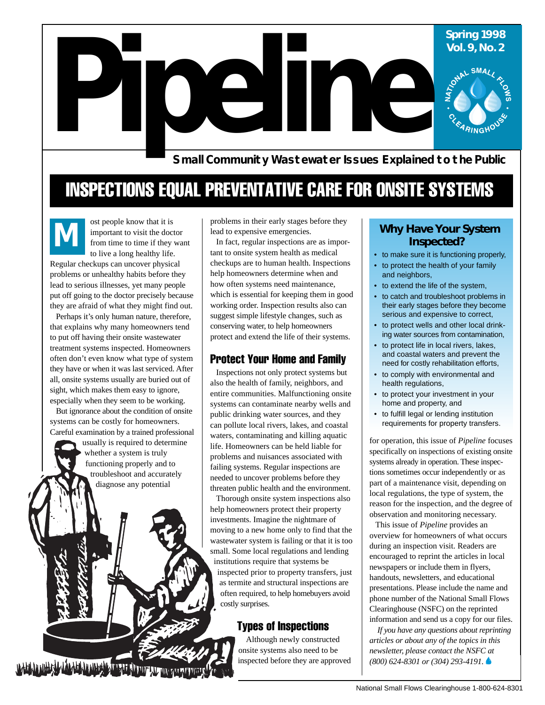# **Pipeline 1998**<br>
Vol. 9, No. 2<br>
Pipeline SMALL<sub>2</sub><br>
Pipeline SMALL<sub>2</sub><br>
Pipeline SMALL<sub>2</sub><br>
Pipeline SMALL<sub>2</sub><br>
Pipeline SMALL<sub>2</sub> **Vol. 9, No. 2**

**Small Community Wastewater Issues Explained to the Public**

## INSPECTIONS EQUAL PREVENTATIVE CARE FOR ONSITE SYSTEMS

*M* ost people know that it is important to visit the doctor from time to time if they want to live a long healthy life. Regular checkups can uncover physical problems or unhealthy habits before they lead to serious illnesses, yet many people put off going to the doctor precisely because they are afraid of what they might find out.

Perhaps it's only human nature, therefore, that explains why many homeowners tend to put off having their onsite wastewater treatment systems inspected. Homeowners often don't even know what type of system they have or when it was last serviced. After all, onsite systems usually are buried out of sight, which makes them easy to ignore, especially when they seem to be working.

But ignorance about the condition of onsite systems can be costly for homeowners. Careful examination by a trained professional

> usually is required to determine whether a system is truly functioning properly and to troubleshoot and accurately diagnose any potential

problems in their early stages before they lead to expensive emergencies.

In fact, regular inspections are as important to onsite system health as medical checkups are to human health. Inspections help homeowners determine when and how often systems need maintenance, which is essential for keeping them in good working order. Inspection results also can suggest simple lifestyle changes, such as conserving water, to help homeowners protect and extend the life of their systems.

#### Protect Your Home and Family

Inspections not only protect systems but also the health of family, neighbors, and entire communities. Malfunctioning onsite systems can contaminate nearby wells and public drinking water sources, and they can pollute local rivers, lakes, and coastal waters, contaminating and killing aquatic life. Homeowners can be held liable for problems and nuisances associated with failing systems. Regular inspections are needed to uncover problems before they threaten public health and the environment.

Thorough onsite system inspections also help homeowners protect their property investments. Imagine the nightmare of moving to a new home only to find that the wastewater system is failing or that it is too small. Some local regulations and lending institutions require that systems be inspected prior to property transfers, just as termite and structural inspections are often required, to help homebuyers avoid costly surprises.

#### Types of Inspections

 Although newly constructed onsite systems also need to be inspected before they are approved

#### **Why Have Your System Inspected?**

- to make sure it is functioning properly,
- to protect the health of your family and neighbors,
- to extend the life of the system,
- to catch and troubleshoot problems in their early stages before they become serious and expensive to correct,
- to protect wells and other local drinking water sources from contamination,
- to protect life in local rivers, lakes, and coastal waters and prevent the need for costly rehabilitation efforts,
- to comply with environmental and health regulations,
- to protect your investment in your home and property, and
- to fulfill legal or lending institution requirements for property transfers.

for operation, this issue of *Pipeline* focuses specifically on inspections of existing onsite systems already in operation. These inspections sometimes occur independently or as part of a maintenance visit, depending on local regulations, the type of system, the reason for the inspection, and the degree of observation and monitoring necessary.

This issue of *Pipeline* provides an overview for homeowners of what occurs during an inspection visit. Readers are encouraged to reprint the articles in local newspapers or include them in flyers, handouts, newsletters, and educational presentations. Please include the name and phone number of the National Small Flows Clearinghouse (NSFC) on the reprinted information and send us a copy for our files.

*If you have any questions about reprinting articles or about any of the topics in this newsletter, please contact the NSFC at (800) 624-8301 or (304) 293-4191.*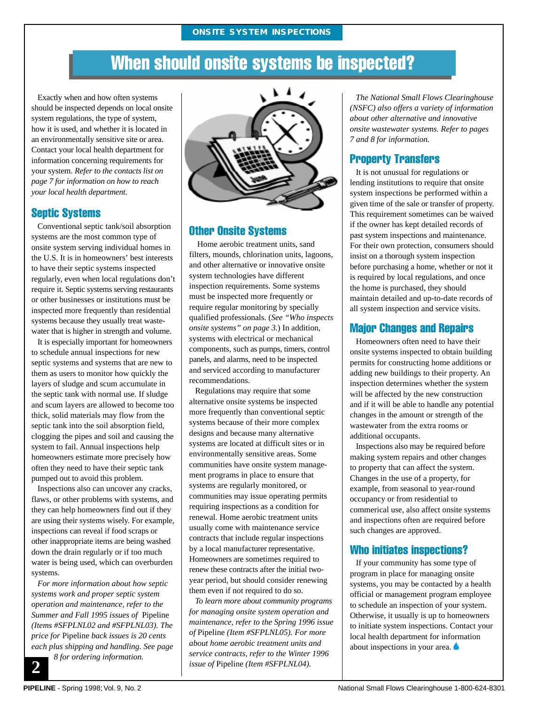## When should onsite systems be inspected?

Exactly when and how often systems should be inspected depends on local onsite system regulations, the type of system, how it is used, and whether it is located in an environmentally sensitive site or area. Contact your local health department for information concerning requirements for your system. *Refer to the contacts list on page 7 for information on how to reach your local health department.*

#### Septic Systems

Conventional septic tank/soil absorption systems are the most common type of onsite system serving individual homes in the U.S. It is in homeowners' best interests to have their septic systems inspected regularly, even when local regulations don't require it. Septic systems serving restaurants or other businesses or institutions must be inspected more frequently than residential systems because they usually treat wastewater that is higher in strength and volume.

It is especially important for homeowners to schedule annual inspections for new septic systems and systems that are new to them as users to monitor how quickly the layers of sludge and scum accumulate in the septic tank with normal use. If sludge and scum layers are allowed to become too thick, solid materials may flow from the septic tank into the soil absorption field, clogging the pipes and soil and causing the system to fail. Annual inspections help homeowners estimate more precisely how often they need to have their septic tank pumped out to avoid this problem.

Inspections also can uncover any cracks, flaws, or other problems with systems, and they can help homeowners find out if they are using their systems wisely. For example, inspections can reveal if food scraps or other inappropriate items are being washed down the drain regularly or if too much water is being used, which can overburden systems.

*For more information about how septic systems work and proper septic system operation and maintenance, refer to the Summer and Fall 1995 issues of* Pipeline *(Items #SFPLNL02 and #SFPLNL03). The price for* Pipeline *back issues is 20 cents each plus shipping and handling. See page*

 *8 for ordering information.*



#### Other Onsite Systems

 Home aerobic treatment units, sand filters, mounds, chlorination units, lagoons, and other alternative or innovative onsite system technologies have different inspection requirements. Some systems must be inspected more frequently or require regular monitoring by specially qualified professionals. (*See "Who inspects onsite systems" on page 3.*) In addition, systems with electrical or mechanical components, such as pumps, timers, control panels, and alarms, need to be inspected and serviced according to manufacturer recommendations.

Regulations may require that some alternative onsite systems be inspected more frequently than conventional septic systems because of their more complex designs and because many alternative systems are located at difficult sites or in environmentally sensitive areas. Some communities have onsite system management programs in place to ensure that systems are regularly monitored, or communities may issue operating permits requiring inspections as a condition for renewal. Home aerobic treatment units usually come with maintenance service contracts that include regular inspections by a local manufacturer representative. Homeowners are sometimes required to renew these contracts after the initial twoyear period, but should consider renewing them even if not required to do so.

*To learn more about community programs for managing onsite system operation and maintenance, refer to the Spring 1996 issue of* Pipeline *(Item #SFPLNL05). For more about home aerobic treatment units and service contracts, refer to the Winter 1996 issue of* Pipeline *(Item #SFPLNL04).*

*The National Small Flows Clearinghouse (NSFC) also offers a variety of information about other alternative and innovative onsite wastewater systems. Refer to pages 7 and 8 for information.*

#### Property Transfers

It is not unusual for regulations or lending institutions to require that onsite system inspections be performed within a given time of the sale or transfer of property. This requirement sometimes can be waived if the owner has kept detailed records of past system inspections and maintenance. For their own protection, consumers should insist on a thorough system inspection before purchasing a home, whether or not it is required by local regulations, and once the home is purchased, they should maintain detailed and up-to-date records of all system inspection and service visits.

#### Major Changes and Repairs

Homeowners often need to have their onsite systems inspected to obtain building permits for constructing home additions or adding new buildings to their property. An inspection determines whether the system will be affected by the new construction and if it will be able to handle any potential changes in the amount or strength of the wastewater from the extra rooms or additional occupants.

Inspections also may be required before making system repairs and other changes to property that can affect the system. Changes in the use of a property, for example, from seasonal to year-round occupancy or from residential to commerical use, also affect onsite systems and inspections often are required before such changes are approved.

#### Who initiates inspections?

If your community has some type of program in place for managing onsite systems, you may be contacted by a health official or management program employee to schedule an inspection of your system. Otherwise, it usually is up to homeowners to initiate system inspections. Contact your local health department for information about inspections in your area.

**2 2**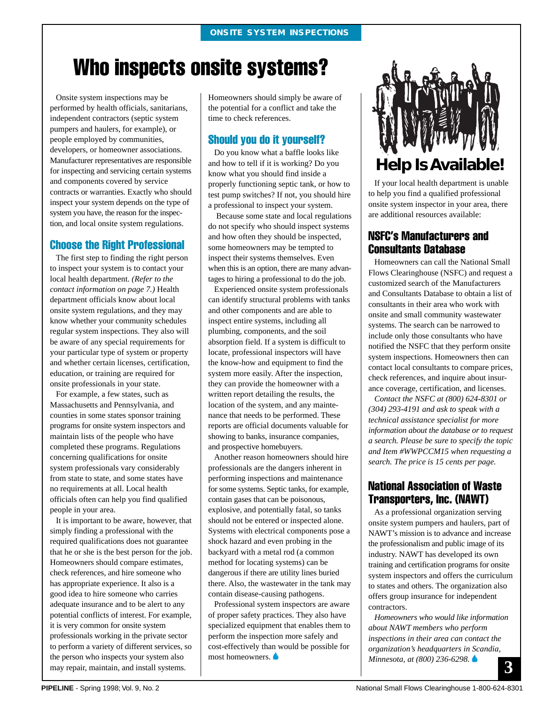## Who inspects onsite systems?

Onsite system inspections may be performed by health officials, sanitarians, independent contractors (septic system pumpers and haulers, for example), or people employed by communities, developers, or homeowner associations. Manufacturer representatives are responsible for inspecting and servicing certain systems and components covered by service contracts or warranties. Exactly who should inspect your system depends on the type of system you have, the reason for the inspection, and local onsite system regulations.

#### Choose the Right Professional

The first step to finding the right person to inspect your system is to contact your local health department. *(Refer to the contact information on page 7.)* Health department officials know about local onsite system regulations, and they may know whether your community schedules regular system inspections. They also will be aware of any special requirements for your particular type of system or property and whether certain licenses, certification, education, or training are required for onsite professionals in your state.

For example, a few states, such as Massachusetts and Pennsylvania, and counties in some states sponsor training programs for onsite system inspectors and maintain lists of the people who have completed these programs. Regulations concerning qualifications for onsite system professionals vary considerably from state to state, and some states have no requirements at all. Local health officials often can help you find qualified people in your area.

It is important to be aware, however, that simply finding a professional with the required qualifications does not guarantee that he or she is the best person for the job. Homeowners should compare estimates, check references, and hire someone who has appropriate experience. It also is a good idea to hire someone who carries adequate insurance and to be alert to any potential conflicts of interest. For example, it is very common for onsite system professionals working in the private sector to perform a variety of different services, so the person who inspects your system also may repair, maintain, and install systems.

Homeowners should simply be aware of the potential for a conflict and take the time to check references.

#### Should you do it yourself?

Do you know what a baffle looks like and how to tell if it is working? Do you know what you should find inside a properly functioning septic tank, or how to test pump switches? If not, you should hire a professional to inspect your system.

 Because some state and local regulations do not specify who should inspect systems and how often they should be inspected, some homeowners may be tempted to inspect their systems themselves. Even when this is an option, there are many advantages to hiring a professional to do the job.

Experienced onsite system professionals can identify structural problems with tanks and other components and are able to inspect entire systems, including all plumbing, components, and the soil absorption field. If a system is difficult to locate, professional inspectors will have the know-how and equipment to find the system more easily. After the inspection, they can provide the homeowner with a written report detailing the results, the location of the system, and any maintenance that needs to be performed. These reports are official documents valuable for showing to banks, insurance companies, and prospective homebuyers.

Another reason homeowners should hire professionals are the dangers inherent in performing inspections and maintenance for some systems. Septic tanks, for example, contain gases that can be poisonous, explosive, and potentially fatal, so tanks should not be entered or inspected alone. Systems with electrical components pose a shock hazard and even probing in the backyard with a metal rod (a common method for locating systems) can be dangerous if there are utility lines buried there. Also, the wastewater in the tank may contain disease-causing pathogens.

Professional system inspectors are aware of proper safety practices. They also have specialized equipment that enables them to perform the inspection more safely and cost-effectively than would be possible for most homeowners.



If your local health department is unable to help you find a qualified professional onsite system inspector in your area, there are additional resources available:

#### NSFC's Manufacturers and Consultants Database

Homeowners can call the National Small Flows Clearinghouse (NSFC) and request a customized search of the Manufacturers and Consultants Database to obtain a list of consultants in their area who work with onsite and small community wastewater systems. The search can be narrowed to include only those consultants who have notified the NSFC that they perform onsite system inspections. Homeowners then can contact local consultants to compare prices, check references, and inquire about insurance coverage, certification, and licenses.

*Contact the NSFC at (800) 624-8301 or (304) 293-4191 and ask to speak with a technical assistance specialist for more information about the database or to request a search. Please be sure to specify the topic and Item #WWPCCM15 when requesting a search. The price is 15 cents per page.*

#### National Association of Waste Transporters, Inc. (NAWT)

As a professional organization serving onsite system pumpers and haulers, part of NAWT's mission is to advance and increase the professionalism and public image of its industry. NAWT has developed its own training and certification programs for onsite system inspectors and offers the curriculum to states and others. The organization also offers group insurance for independent contractors.

**3** *Homeowners who would like information about NAWT members who perform inspections in their area can contact the organization's headquarters in Scandia, Minnesota, at (800) 236-6298.*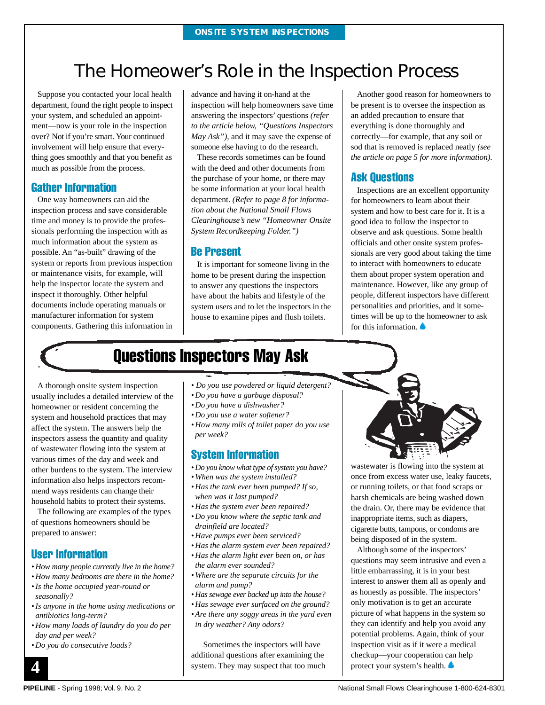## The Homeower's Role in the Inspection Process

Suppose you contacted your local health department, found the right people to inspect your system, and scheduled an appointment—now is your role in the inspection over? Not if you're smart. Your continued involvement will help ensure that everything goes smoothly and that you benefit as much as possible from the process.

#### Gather Information

One way homeowners can aid the inspection process and save considerable time and money is to provide the professionals performing the inspection with as much information about the system as possible. An "as-built" drawing of the system or reports from previous inspection or maintenance visits, for example, will help the inspector locate the system and inspect it thoroughly. Other helpful documents include operating manuals or manufacturer information for system components. Gathering this information in advance and having it on-hand at the inspection will help homeowners save time answering the inspectors' questions *(refer to the article below, "Questions Inspectors May Ask")*, and it may save the expense of someone else having to do the research.

These records sometimes can be found with the deed and other documents from the purchase of your home, or there may be some information at your local health department. *(Refer to page 8 for information about the National Small Flows Clearinghouse's new "Homeowner Onsite System Recordkeeping Folder.")*

#### Be Present

It is important for someone living in the home to be present during the inspection to answer any questions the inspectors have about the habits and lifestyle of the system users and to let the inspectors in the house to examine pipes and flush toilets.

Another good reason for homeowners to be present is to oversee the inspection as an added precaution to ensure that everything is done thoroughly and correctly—for example, that any soil or sod that is removed is replaced neatly *(see the article on page 5 for more information)*.

#### Ask Questions

Inspections are an excellent opportunity for homeowners to learn about their system and how to best care for it. It is a good idea to follow the inspector to observe and ask questions. Some health officials and other onsite system professionals are very good about taking the time to interact with homeowners to educate them about proper system operation and maintenance. However, like any group of people, different inspectors have different personalities and priorities, and it sometimes will be up to the homeowner to ask for this information.

## Questions Inspectors May Ask

A thorough onsite system inspection usually includes a detailed interview of the homeowner or resident concerning the system and household practices that may affect the system. The answers help the inspectors assess the quantity and quality of wastewater flowing into the system at various times of the day and week and other burdens to the system. The interview information also helps inspectors recommend ways residents can change their household habits to protect their systems.

The following are examples of the types of questions homeowners should be prepared to answer:

#### User Information

- *How many people currently live in the home?*
- *How many bedrooms are there in the home? • Is the home occupied year-round or seasonally?*
- *Is anyone in the home using medications or antibiotics long-term?*
- *How many loads of laundry do you do per day and per week?*
- *Do you do consecutive loads?*
- *Do you use powdered or liquid detergent?*
- *Do you have a garbage disposal?*
- *Do you have a dishwasher?*
- *Do you use a water softener?*
- *How many rolls of toilet paper do you use per week?*

#### System Information

- *Do you know what type of system you have?*
- *When was the system installed?*
- *Has the tank ever been pumped? If so, when was it last pumped?*
- *Has the system ever been repaired?*
- *Do you know where the septic tank and drainfield are located?*
- *Have pumps ever been serviced?*
- *Has the alarm system ever been repaired?*
- *Has the alarm light ever been on, or has the alarm ever sounded?*
- *Where are the separate circuits for the alarm and pump?*
- *Has sewage ever backed up into the house?*
- *Has sewage ever surfaced on the ground?*
- *Are there any soggy areas in the yard even in dry weather? Any odors?*

Sometimes the inspectors will have additional questions after examining the system. They may suspect that too much



wastewater is flowing into the system at once from excess water use, leaky faucets, or running toilets, or that food scraps or harsh chemicals are being washed down the drain. Or, there may be evidence that inappropriate items, such as diapers, cigarette butts, tampons, or condoms are being disposed of in the system.

Although some of the inspectors' questions may seem intrusive and even a little embarrassing, it is in your best interest to answer them all as openly and as honestly as possible. The inspectors' only motivation is to get an accurate picture of what happens in the system so they can identify and help you avoid any potential problems. Again, think of your inspection visit as if it were a medical checkup—your cooperation can help protect your system's health.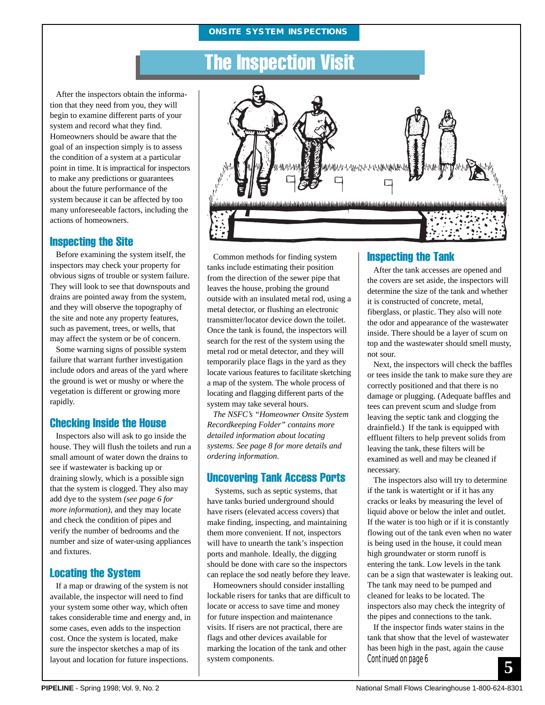#### **ONSITE SYSTEM INSPECTIONS**

## The Inspection Visit

After the inspectors obtain the information that they need from you, they will begin to examine different parts of your system and record what they find. Homeowners should be aware that the goal of an inspection simply is to assess the condition of a system at a particular point in time. It is impractical for inspectors to make any predictions or guarantees about the future performance of the system because it can be affected by too many unforeseeable factors, including the actions of homeowners.

#### Inspecting the Site

Before examining the system itself, the inspectors may check your property for obvious signs of trouble or system failure. They will look to see that downspouts and drains are pointed away from the system, and they will observe the topography of the site and note any property features, such as pavement, trees, or wells, that may affect the system or be of concern.

Some warning signs of possible system failure that warrant further investigation include odors and areas of the yard where the ground is wet or mushy or where the vegetation is different or growing more rapidly.

#### Checking Inside the House

Inspectors also will ask to go inside the house. They will flush the toilets and run a small amount of water down the drains to see if wastewater is backing up or draining slowly, which is a possible sign that the system is clogged. They also may add dye to the system *(see page 6 for more information)*, and they may locate and check the condition of pipes and verify the number of bedrooms and the number and size of water-using appliances and fixtures.

#### Locating the System

If a map or drawing of the system is not available, the inspector will need to find your system some other way, which often takes considerable time and energy and, in some cases, even adds to the inspection cost. Once the system is located, make sure the inspector sketches a map of its layout and location for future inspections.



Common methods for finding system tanks include estimating their position from the direction of the sewer pipe that leaves the house, probing the ground outside with an insulated metal rod, using a metal detector, or flushing an electronic transmitter/locator device down the toilet. Once the tank is found, the inspectors will search for the rest of the system using the metal rod or metal detector, and they will temporarily place flags in the yard as they locate various features to facilitate sketching a map of the system. The whole process of locating and flagging different parts of the system may take several hours.

*The NSFC's "Homeowner Onsite System Recordkeeping Folder" contains more detailed information about locating systems. See page 8 for more details and ordering information.*

#### Uncovering Tank Access Ports

Systems, such as septic systems, that have tanks buried underground should have risers (elevated access covers) that make finding, inspecting, and maintaining them more convenient. If not, inspectors will have to unearth the tank's inspection ports and manhole. Ideally, the digging should be done with care so the inspectors can replace the sod neatly before they leave.

Homeowners should consider installing lockable risers for tanks that are difficult to locate or access to save time and money for future inspection and maintenance visits. If risers are not practical, there are flags and other devices available for marking the location of the tank and other system components.

#### Inspecting the Tank

After the tank accesses are opened and the covers are set aside, the inspectors will determine the size of the tank and whether it is constructed of concrete, metal, fiberglass, or plastic. They also will note the odor and appearance of the wastewater inside. There should be a layer of scum on top and the wastewater should smell musty, not sour.

Next, the inspectors will check the baffles or tees inside the tank to make sure they are correctly positioned and that there is no damage or plugging. (Adequate baffles and tees can prevent scum and sludge from leaving the septic tank and clogging the drainfield.) If the tank is equipped with effluent filters to help prevent solids from leaving the tank, these filters will be examined as well and may be cleaned if necessary.

The inspectors also will try to determine if the tank is watertight or if it has any cracks or leaks by measuring the level of liquid above or below the inlet and outlet. If the water is too high or if it is constantly flowing out of the tank even when no water is being used in the house, it could mean high groundwater or storm runoff is entering the tank. Low levels in the tank can be a sign that wastewater is leaking out. The tank may need to be pumped and cleaned for leaks to be located. The inspectors also may check the integrity of the pipes and connections to the tank.

If the inspector finds water stains in the tank that show that the level of wastewater has been high in the past, again the cause Continued on page 6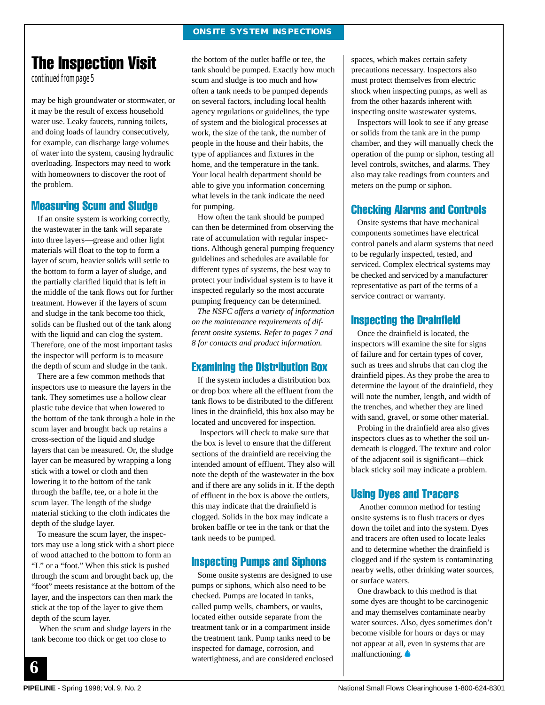#### **ONSITE SYSTEM INSPECTIONS**

## The Inspection Visit

continued from page 5

may be high groundwater or stormwater, or it may be the result of excess household water use. Leaky faucets, running toilets, and doing loads of laundry consecutively, for example, can discharge large volumes of water into the system, causing hydraulic overloading. Inspectors may need to work with homeowners to discover the root of the problem.

#### Measuring Scum and Sludge

If an onsite system is working correctly, the wastewater in the tank will separate into three layers—grease and other light materials will float to the top to form a layer of scum, heavier solids will settle to the bottom to form a layer of sludge, and the partially clarified liquid that is left in the middle of the tank flows out for further treatment. However if the layers of scum and sludge in the tank become too thick, solids can be flushed out of the tank along with the liquid and can clog the system. Therefore, one of the most important tasks the inspector will perform is to measure the depth of scum and sludge in the tank.

There are a few common methods that inspectors use to measure the layers in the tank. They sometimes use a hollow clear plastic tube device that when lowered to the bottom of the tank through a hole in the scum layer and brought back up retains a cross-section of the liquid and sludge layers that can be measured. Or, the sludge layer can be measured by wrapping a long stick with a towel or cloth and then lowering it to the bottom of the tank through the baffle, tee, or a hole in the scum layer. The length of the sludge material sticking to the cloth indicates the depth of the sludge layer.

To measure the scum layer, the inspectors may use a long stick with a short piece of wood attached to the bottom to form an "L" or a "foot." When this stick is pushed through the scum and brought back up, the "foot" meets resistance at the bottom of the layer, and the inspectors can then mark the stick at the top of the layer to give them depth of the scum layer.

 When the scum and sludge layers in the tank become too thick or get too close to

the bottom of the outlet baffle or tee, the tank should be pumped. Exactly how much scum and sludge is too much and how often a tank needs to be pumped depends on several factors, including local health agency regulations or guidelines, the type of system and the biological processes at work, the size of the tank, the number of people in the house and their habits, the type of appliances and fixtures in the home, and the temperature in the tank. Your local health department should be able to give you information concerning what levels in the tank indicate the need for pumping.

How often the tank should be pumped can then be determined from observing the rate of accumulation with regular inspections. Although general pumping frequency guidelines and schedules are available for different types of systems, the best way to protect your individual system is to have it inspected regularly so the most accurate pumping frequency can be determined.

*The NSFC offers a variety of information on the maintenance requirements of different onsite systems. Refer to pages 7 and 8 for contacts and product information.*

#### Examining the Distribution Box

If the system includes a distribution box or drop box where all the effluent from the tank flows to be distributed to the different lines in the drainfield, this box also may be located and uncovered for inspection.

 Inspectors will check to make sure that the box is level to ensure that the different sections of the drainfield are receiving the intended amount of effluent. They also will note the depth of the wastewater in the box and if there are any solids in it. If the depth of effluent in the box is above the outlets, this may indicate that the drainfield is clogged. Solids in the box may indicate a broken baffle or tee in the tank or that the tank needs to be pumped.

#### Inspecting Pumps and Siphons

Some onsite systems are designed to use pumps or siphons, which also need to be checked. Pumps are located in tanks, called pump wells, chambers, or vaults, located either outside separate from the treatment tank or in a compartment inside the treatment tank. Pump tanks need to be inspected for damage, corrosion, and watertightness, and are considered enclosed spaces, which makes certain safety precautions necessary. Inspectors also must protect themselves from electric shock when inspecting pumps, as well as from the other hazards inherent with inspecting onsite wastewater systems.

Inspectors will look to see if any grease or solids from the tank are in the pump chamber, and they will manually check the operation of the pump or siphon, testing all level controls, switches, and alarms. They also may take readings from counters and meters on the pump or siphon.

#### Checking Alarms and Controls

Onsite systems that have mechanical components sometimes have electrical control panels and alarm systems that need to be regularly inspected, tested, and serviced. Complex electrical systems may be checked and serviced by a manufacturer representative as part of the terms of a service contract or warranty.

#### Inspecting the Drainfield

Once the drainfield is located, the inspectors will examine the site for signs of failure and for certain types of cover, such as trees and shrubs that can clog the drainfield pipes. As they probe the area to determine the layout of the drainfield, they will note the number, length, and width of the trenches, and whether they are lined with sand, gravel, or some other material.

Probing in the drainfield area also gives inspectors clues as to whether the soil underneath is clogged. The texture and color of the adjacent soil is significant—thick black sticky soil may indicate a problem.

#### Using Dyes and Tracers

Another common method for testing onsite systems is to flush tracers or dyes down the toilet and into the system. Dyes and tracers are often used to locate leaks and to determine whether the drainfield is clogged and if the system is contaminating nearby wells, other drinking water sources, or surface waters.

One drawback to this method is that some dyes are thought to be carcinogenic and may themselves contaminate nearby water sources. Also, dyes sometimes don't become visible for hours or days or may not appear at all, even in systems that are malfunctioning.

**6**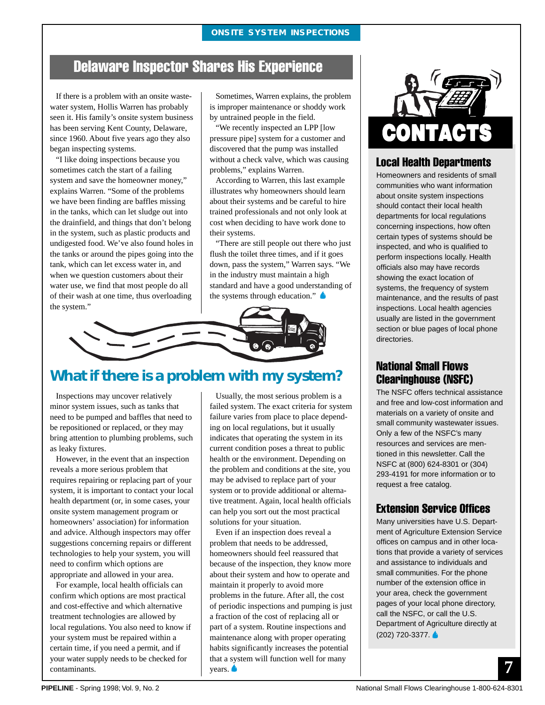#### **ONSITE SYSTEM INSPECTIONS**

## Delaware Inspector Shares His Experience

If there is a problem with an onsite wastewater system, Hollis Warren has probably seen it. His family's onsite system business has been serving Kent County, Delaware, since 1960. About five years ago they also began inspecting systems.

"I like doing inspections because you sometimes catch the start of a failing system and save the homeowner money," explains Warren. "Some of the problems we have been finding are baffles missing in the tanks, which can let sludge out into the drainfield, and things that don't belong in the system, such as plastic products and undigested food. We've also found holes in the tanks or around the pipes going into the tank, which can let excess water in, and when we question customers about their water use, we find that most people do all of their wash at one time, thus overloading the system."

Sometimes, Warren explains, the problem is improper maintenance or shoddy work by untrained people in the field.

"We recently inspected an LPP [low pressure pipe] system for a customer and discovered that the pump was installed without a check valve, which was causing problems," explains Warren.

According to Warren, this last example illustrates why homeowners should learn about their systems and be careful to hire trained professionals and not only look at cost when deciding to have work done to their systems.

"There are still people out there who just flush the toilet three times, and if it goes down, pass the system," Warren says. "We in the industry must maintain a high standard and have a good understanding of the systems through education."



#### **What if there is a problem with my system?**

Inspections may uncover relatively minor system issues, such as tanks that need to be pumped and baffles that need to be repositioned or replaced, or they may bring attention to plumbing problems, such as leaky fixtures.

However, in the event that an inspection reveals a more serious problem that requires repairing or replacing part of your system, it is important to contact your local health department (or, in some cases, your onsite system management program or homeowners' association) for information and advice. Although inspectors may offer suggestions concerning repairs or different technologies to help your system, you will need to confirm which options are appropriate and allowed in your area.

For example, local health officials can confirm which options are most practical and cost-effective and which alternative treatment technologies are allowed by local regulations. You also need to know if your system must be repaired within a certain time, if you need a permit, and if your water supply needs to be checked for contaminants.

Usually, the most serious problem is a failed system. The exact criteria for system failure varies from place to place depending on local regulations, but it usually indicates that operating the system in its current condition poses a threat to public health or the environment. Depending on the problem and conditions at the site, you may be advised to replace part of your system or to provide additional or alternative treatment. Again, local health officials can help you sort out the most practical solutions for your situation.

Even if an inspection does reveal a problem that needs to be addressed, homeowners should feel reassured that because of the inspection, they know more about their system and how to operate and maintain it properly to avoid more problems in the future. After all, the cost of periodic inspections and pumping is just a fraction of the cost of replacing all or part of a system. Routine inspections and maintenance along with proper operating habits significantly increases the potential that a system will function well for many years.



#### Local Health Departments

Homeowners and residents of small communities who want information about onsite system inspections should contact their local health departments for local regulations concerning inspections, how often certain types of systems should be inspected, and who is qualified to perform inspections locally. Health officials also may have records showing the exact location of systems, the frequency of system maintenance, and the results of past inspections. Local health agencies usually are listed in the government section or blue pages of local phone directories.

#### National Small Flows Clearinghouse (NSFC)

The NSFC offers technical assistance and free and low-cost information and materials on a variety of onsite and small community wastewater issues. Only a few of the NSFC's many resources and services are mentioned in this newsletter. Call the NSFC at (800) 624-8301 or (304) 293-4191 for more information or to request a free catalog.

#### Extension Service Offices

Many universities have U.S. Department of Agriculture Extension Service offices on campus and in other locations that provide a variety of services and assistance to individuals and small communities. For the phone number of the extension office in your area, check the government pages of your local phone directory, call the NSFC, or call the U.S. Department of Agriculture directly at (202) 720-3377.